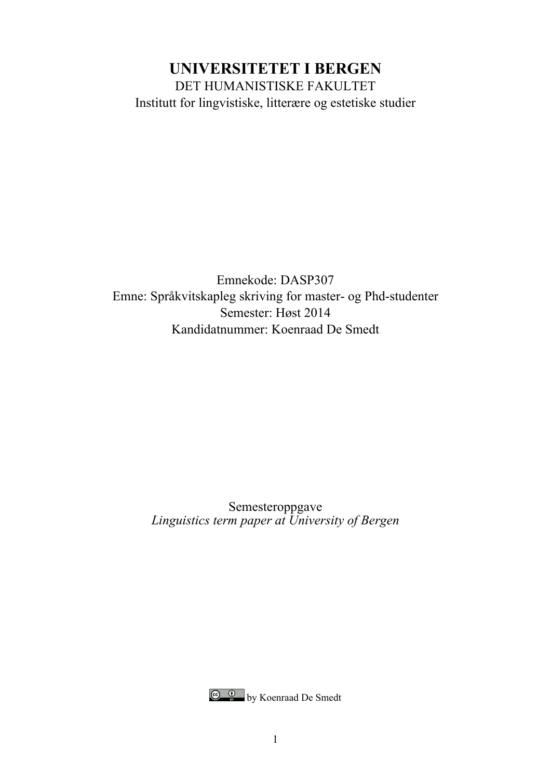## **UNIVERSITETET I BERGEN** DET HUMANISTISKE FAKULTET Institutt for lingvistiske, litterære og estetiske studier

Emnekode: DASP307 Emne: Språkvitskapleg skriving for master- og Phd-studenter Semester: Høst 2014 Kandidatnummer: Koenraad De Smedt

> Semesteroppgave *Linguistics term paper at University of Bergen*

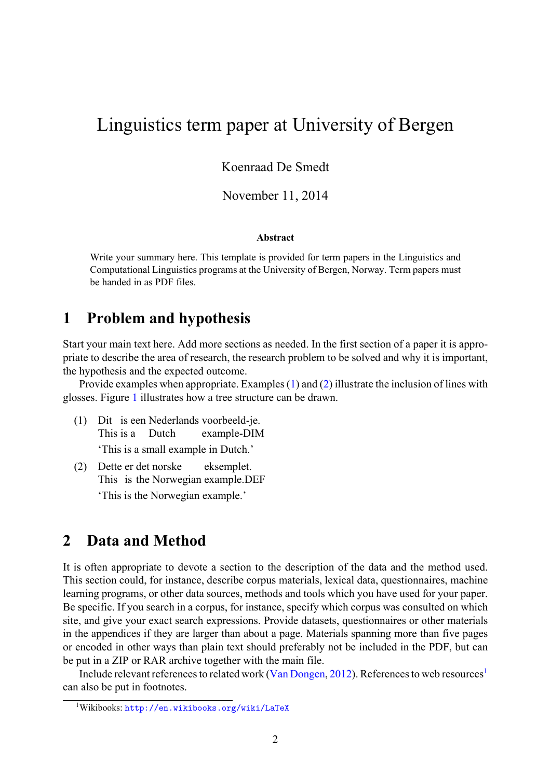# Linguistics term paper at University of Bergen

Koenraad De Smedt

November 11, 2014

#### **Abstract**

Write your summary here. This template is provided for term papers in the Linguistics and Computational Linguistics programs at the University of Bergen, Norway. Term papers must be handed in as PDF files.

#### **1 Problem and hypothesis**

Start your main text here. Add more sections as needed. In the first section of a paper it is appropriate to describe the area of research, the research problem to be solved and why it is important, the hypothesis and the expected outcome.

Provide examples when appropriate. Examples (1) and (2) illustrate the inclusion of lines with glosses. Figure 1 illustrates how a tree structure can be drawn.

- (1) Dit is een Nederlands voorbeeld-je. This is a Dutch example-DIM 'This is [a](#page-2-0) small example in Dutch.'
- (2) Dette er det norske This is the Norwegian example.DEF eksemplet. 'This is the Norwegian example.'

#### **2 Data and Method**

It is often appropriate to devote a section to the description of the data and the method used. This section could, for instance, describe corpus materials, lexical data, questionnaires, machine learning programs, or other data sources, methods and tools which you have used for your paper. Be specific. If you search in a corpus, for instance, specify which corpus was consulted on which site, and give your exact search expressions. Provide datasets, questionnaires or other materials in the appendices if they are larger than about a page. Materials spanning more than five pages or encoded in other ways than plain text should preferably not be included in the PDF, but can be put in a ZIP or RAR archive together with the main file.

Include relevant references to related work (Van Dongen, 2012). References to web resources<sup>1</sup> can also be put in footnotes.

<sup>1</sup>Wikibooks: http://en.wikibooks.org/wiki/LaTeX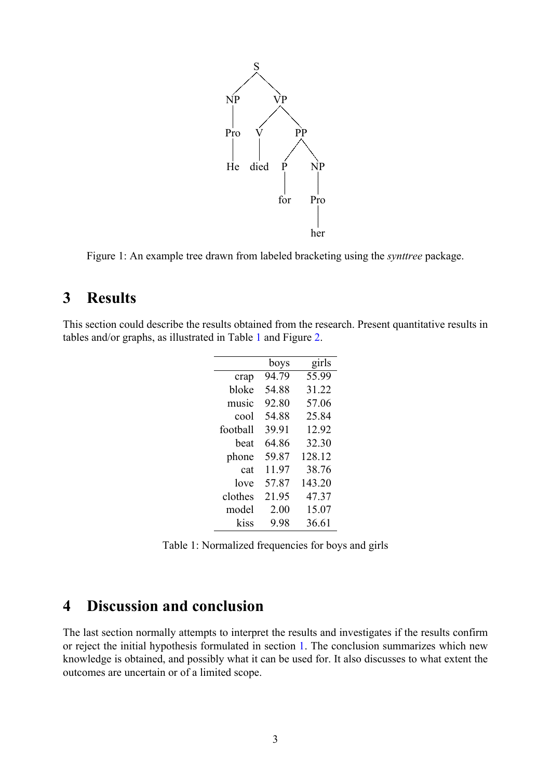

<span id="page-2-0"></span>Figure 1: An example tree drawn from labeled bracketing using the *synttree* package.

### **3 Results**

This section could describe the results obtained from the research. Present quantitative results in tables and/or graphs, as illustrated in Table 1 and Figure 2.

|          | boys  | girls  |
|----------|-------|--------|
| crap     | 94.79 | 55.99  |
| bloke    | 54.88 | 31.22  |
| music    | 92.80 | 57.06  |
| cool     | 54.88 | 25.84  |
| football | 39.91 | 12.92  |
| heat     | 64.86 | 32.30  |
| phone    | 59.87 | 128.12 |
| cat      | 11.97 | 38.76  |
| love     | 57.87 | 143.20 |
| clothes  | 21.95 | 47.37  |
| model    | 2.00  | 15.07  |
| kiss     | 9.98  | 36.61  |

<span id="page-2-1"></span>Table 1: Normalized frequencies for boys and girls

#### **4 Discussion and conclusion**

The last section normally attempts to interpret the results and investigates if the results confirm or reject the initial hypothesis formulated in section 1. The conclusion summarizes which new knowledge is obtained, and possibly what it can be used for. It also discusses to what extent the outcomes are uncertain or of a limited scope.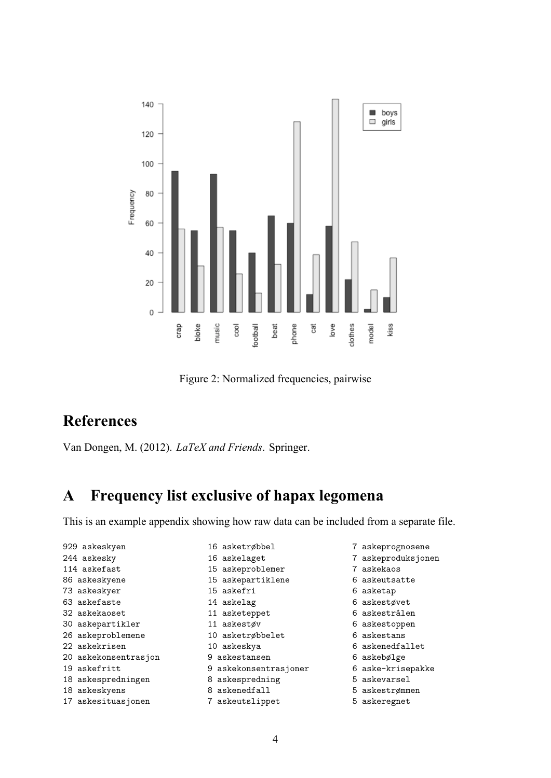

<span id="page-3-0"></span>Figure 2: Normalized frequencies, pairwise

## **References**

Van Dongen, M. (2012). *LaTeX and Friends*. Springer.

# **A Frequency list exclusive of hapax legomena**

This is an example appendix showing how raw data can be included from a separate file.

- 929 askeskyen 244 askesky 114 askefast 86 askeskyene 73 askeskyer 63 askefaste 32 askekaoset 30 askepartikler 26 askeproblemene 22 askekrisen 20 askekonsentrasjon 19 askefritt 18 askespredningen 18 askeskyens 17 askesituasjonen 16 asketrøbbel 16 askelaget 15 askeproblemer 15 askepartiklene 15 askefri 14 askelag 11 asketeppet 11 askestøv 10 asketrøbbelet 10 askeskya 9 askestansen 9 askekonsentrasjoner 8 askespredning 8 askenedfall 7 askeutslippet
- 7 askeprognosene
- 7 askeproduksjonen
- 7 askekaos
- 6 askeutsatte
- 6 asketap
- 6 askestøvet
- 6 askestrålen
- 6 askestoppen
- 6 askestans
- 6 askenedfallet
- 6 askebølge
- 6 aske-krisepakke
- 5 askevarsel
- 5 askestrømmen
- 5 askeregnet